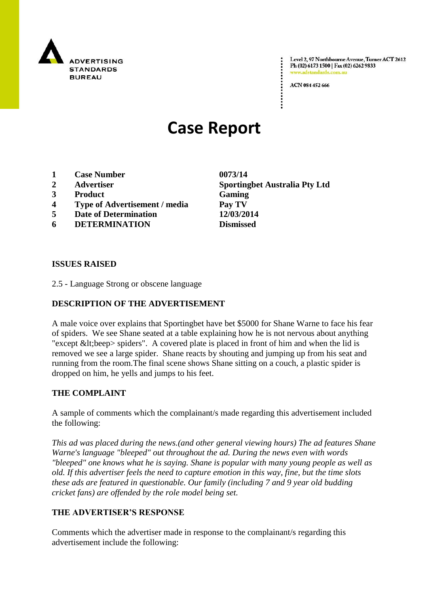

Level 2, 97 Northbourne Avenue, Turner ACT 2612 Ph (02) 6173 1500 | Fax (02) 6262 9833 www.adstandards.c

ACN 084 452 666

# **Case Report**

- **1 Case Number 0073/14**
- 
- **3 Product Gaming**
- **4 Type of Advertisement / media Pay TV**
- **5 Date of Determination 12/03/2014**
- **6 DETERMINATION Dismissed**

**ISSUES RAISED**

2.5 - Language Strong or obscene language

### **DESCRIPTION OF THE ADVERTISEMENT**

A male voice over explains that Sportingbet have bet \$5000 for Shane Warne to face his fear of spiders. We see Shane seated at a table explaining how he is not nervous about anything "except  $<$  lt; beep > spiders". A covered plate is placed in front of him and when the lid is removed we see a large spider. Shane reacts by shouting and jumping up from his seat and running from the room.The final scene shows Shane sitting on a couch, a plastic spider is dropped on him, he yells and jumps to his feet.

#### **THE COMPLAINT**

A sample of comments which the complainant/s made regarding this advertisement included the following:

*This ad was placed during the news.(and other general viewing hours) The ad features Shane Warne's language "bleeped" out throughout the ad. During the news even with words "bleeped" one knows what he is saying. Shane is popular with many young people as well as old. If this advertiser feels the need to capture emotion in this way, fine, but the time slots these ads are featured in questionable. Our family (including 7 and 9 year old budding cricket fans) are offended by the role model being set.* 

## **THE ADVERTISER'S RESPONSE**

Comments which the advertiser made in response to the complainant/s regarding this advertisement include the following:

**2 Advertiser Sportingbet Australia Pty Ltd**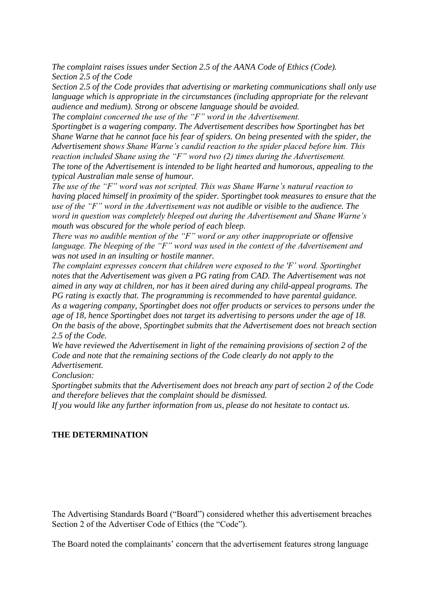*The complaint raises issues under Section 2.5 of the AANA Code of Ethics (Code). Section 2.5 of the Code*

*Section 2.5 of the Code provides that advertising or marketing communications shall only use language which is appropriate in the circumstances (including appropriate for the relevant audience and medium). Strong or obscene language should be avoided.*

*The complaint concerned the use of the "F" word in the Advertisement.*

*Sportingbet is a wagering company. The Advertisement describes how Sportingbet has bet Shane Warne that he cannot face his fear of spiders. On being presented with the spider, the Advertisement shows Shane Warne's candid reaction to the spider placed before him. This reaction included Shane using the "F" word two (2) times during the Advertisement. The tone of the Advertisement is intended to be light hearted and humorous, appealing to the typical Australian male sense of humour.*

*The use of the "F" word was not scripted. This was Shane Warne's natural reaction to having placed himself in proximity of the spider. Sportingbet took measures to ensure that the use of the "F" word in the Advertisement was not audible or visible to the audience. The word in question was completely bleeped out during the Advertisement and Shane Warne's mouth was obscured for the whole period of each bleep.*

*There was no audible mention of the "F" word or any other inappropriate or offensive language. The bleeping of the "F" word was used in the context of the Advertisement and was not used in an insulting or hostile manner.*

*The complaint expresses concern that children were exposed to the 'F' word. Sportingbet notes that the Advertisement was given a PG rating from CAD. The Advertisement was not aimed in any way at children, nor has it been aired during any child-appeal programs. The PG rating is exactly that. The programming is recommended to have parental guidance. As a wagering company, Sportingbet does not offer products or services to persons under the age of 18, hence Sportingbet does not target its advertising to persons under the age of 18. On the basis of the above, Sportingbet submits that the Advertisement does not breach section 2.5 of the Code.*

*We have reviewed the Advertisement in light of the remaining provisions of section 2 of the Code and note that the remaining sections of the Code clearly do not apply to the Advertisement.*

*Conclusion:*

*Sportingbet submits that the Advertisement does not breach any part of section 2 of the Code and therefore believes that the complaint should be dismissed.*

*If you would like any further information from us, please do not hesitate to contact us.*

#### **THE DETERMINATION**

The Advertising Standards Board ("Board") considered whether this advertisement breaches Section 2 of the Advertiser Code of Ethics (the "Code").

The Board noted the complainants' concern that the advertisement features strong language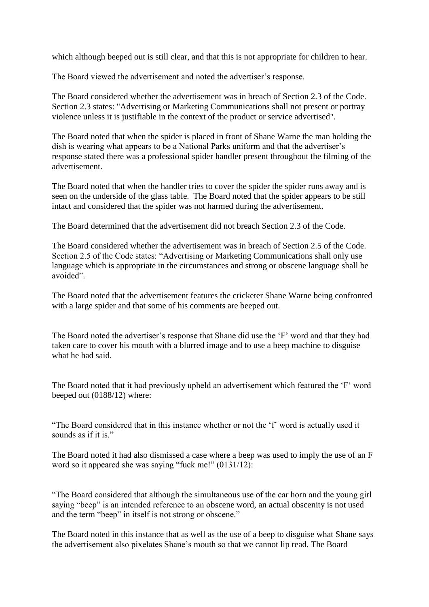which although beeped out is still clear, and that this is not appropriate for children to hear.

The Board viewed the advertisement and noted the advertiser's response.

The Board considered whether the advertisement was in breach of Section 2.3 of the Code. Section 2.3 states: "Advertising or Marketing Communications shall not present or portray violence unless it is justifiable in the context of the product or service advertised".

The Board noted that when the spider is placed in front of Shane Warne the man holding the dish is wearing what appears to be a National Parks uniform and that the advertiser's response stated there was a professional spider handler present throughout the filming of the advertisement.

The Board noted that when the handler tries to cover the spider the spider runs away and is seen on the underside of the glass table. The Board noted that the spider appears to be still intact and considered that the spider was not harmed during the advertisement.

The Board determined that the advertisement did not breach Section 2.3 of the Code.

The Board considered whether the advertisement was in breach of Section 2.5 of the Code. Section 2.5 of the Code states: "Advertising or Marketing Communications shall only use language which is appropriate in the circumstances and strong or obscene language shall be avoided".

The Board noted that the advertisement features the cricketer Shane Warne being confronted with a large spider and that some of his comments are beeped out.

The Board noted the advertiser"s response that Shane did use the "F" word and that they had taken care to cover his mouth with a blurred image and to use a beep machine to disguise what he had said.

The Board noted that it had previously upheld an advertisement which featured the "F" word beeped out (0188/12) where:

"The Board considered that in this instance whether or not the "f" word is actually used it sounds as if it is."

The Board noted it had also dismissed a case where a beep was used to imply the use of an F word so it appeared she was saying "fuck me!" (0131/12):

"The Board considered that although the simultaneous use of the car horn and the young girl saying "beep" is an intended reference to an obscene word, an actual obscenity is not used and the term "beep" in itself is not strong or obscene."

The Board noted in this instance that as well as the use of a beep to disguise what Shane says the advertisement also pixelates Shane"s mouth so that we cannot lip read. The Board